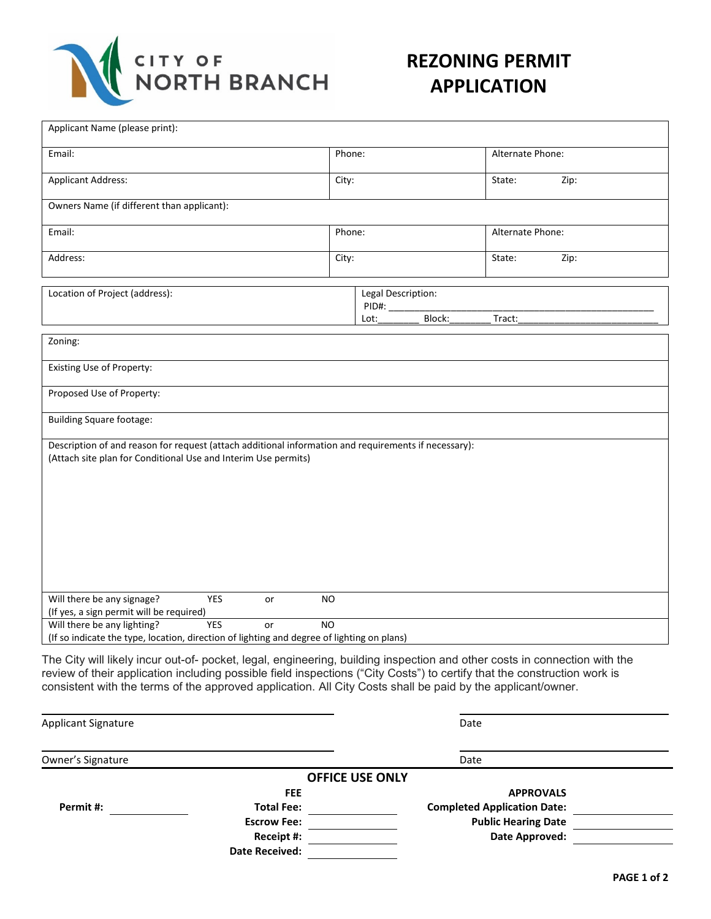

## **REZONING PERMIT APPLICATION**

|                                                                                                      | Phone:                              | Alternate Phone: |
|------------------------------------------------------------------------------------------------------|-------------------------------------|------------------|
| <b>Applicant Address:</b>                                                                            | City:                               | State:<br>Zip:   |
| Owners Name (if different than applicant):                                                           |                                     |                  |
| Email:                                                                                               | Phone:                              | Alternate Phone: |
| Address:                                                                                             | City:                               | State:<br>Zip:   |
| Location of Project (address):                                                                       | Legal Description:<br>PID#:<br>Lot: | Block:<br>Tract: |
| Zoning:                                                                                              |                                     |                  |
| Existing Use of Property:                                                                            |                                     |                  |
| Proposed Use of Property:                                                                            |                                     |                  |
| <b>Building Square footage:</b>                                                                      |                                     |                  |
| Description of and reason for request (attach additional information and requirements if necessary): |                                     |                  |
| (Attach site plan for Conditional Use and Interim Use permits)                                       |                                     |                  |
| Will there be any signage?<br>YES<br>(If yes, a sign permit will be required)                        | or<br><b>NO</b>                     |                  |

Applicant Signature Date Date of the Date of the Date of the Date of the Date of the Date of the Date of the Date of the Date of the Date of the Date of the Date of the Date of the Date of the Date of the Date of the Date Owner's Signature Date Date of the United States and Date Date Date Date Date **OFFICE USE ONLY FEE APPROVALS Permit #: Total Fee: Completed Application Date: Escrow Fee: Public Hearing Date Public Hearing Date Receipt #: Date Approved: Date Approved:** <u>**Date Approved: Date Approved: Provide**  $\overline{\phantom{a}}$ </u> **Date Received:**